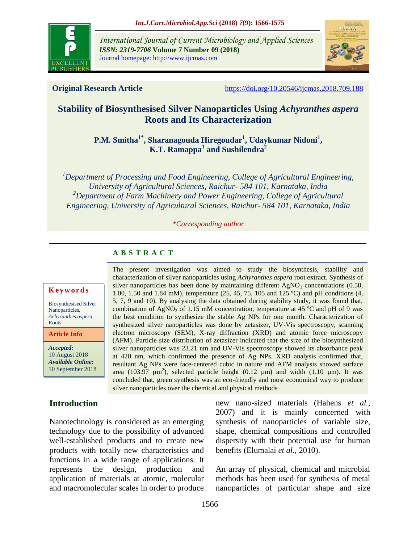

*International Journal of Current Microbiology and Applied Sciences ISSN: 2319-7706* **Volume 7 Number 09 (2018)**  Journal homepage: http://www.ijcmas.com



**Original Research Article** <https://doi.org/10.20546/ijcmas.2018.709.188>

# **Stability of Biosynthesised Silver Nanoparticles Using** *Achyranthes aspera* **Roots and Its Characterization**

**P.M. Smitha1\*, Sharanagouda Hiregoudar<sup>1</sup> , Udaykumar Nidoni<sup>1</sup> , K.T. Ramappa<sup>1</sup> and Sushilendra<sup>2</sup>**

*<sup>1</sup>Department of Processing and Food Engineering, College of Agricultural Engineering, University of Agricultural Sciences, Raichur- 584 101, Karnataka, India <sup>2</sup>Department of Farm Machinery and Power Engineering, College of Agricultural Engineering, University of Agricultural Sciences, Raichur- 584 101, Karnataka, India*

#### *\*Corresponding author*

# **A B S T R A C T**

#### **K e y w o r d s**

Biosynthesised Silver Nanoparticles, *Achyranthes aspera*, Roots

**Article Info**

*Accepted:*  10 August 2018 *Available Online:* 10 September 2018

# **Introduction**

Nanotechnology is considered as an emerging technology due to the possibility of advanced well-established products and to create new products with totally new characteristics and functions in a wide range of applications. It represents the design, production and application of materials at atomic, molecular and macromolecular scales in order to produce

The present investigation was aimed to study the biosynthesis, stability and characterization of silver nanoparticles using *Achyranthes aspera* root extract. Synthesis of silver nanoparticles has been done by maintaining different  $AgNO<sub>3</sub>$  concentrations (0.50, 1.00, 1.50 and 1.84 mM), temperature (25, 45, 75, 105 and 125 ºC) and pH conditions (4, 5, 7, 9 and 10). By analysing the data obtained during stability study, it was found that, combination of AgNO<sub>3</sub> of 1.15 mM concentration, temperature at 45  $^{\circ}$ C and pH of 9 was the best condition to synthesize the stable Ag NPs for one month. Characterization of synthesized silver nanoparticles was done by zetasizer, UV-Vis spectroscopy, scanning electron microscopy (SEM), X-ray diffraction (XRD) and atomic force microscopy (AFM). Particle size distribution of zetasizer indicated that the size of the biosynthesized silver nanoparticles was 23.21 nm and UV-Vis spectroscopy showed its absorbance peak at 420 nm, which confirmed the presence of Ag NPs. XRD analysis confirmed that, resultant Ag NPs were face-centered cubic in nature and AFM analysis showed surface area (103.97  $\mu$ m<sup>2</sup>), selected particle height (0.12  $\mu$ m) and width (1.10  $\mu$ m). It was concluded that, green synthesis was an eco-friendly and most economical way to produce silver nanoparticles over the chemical and physical methods

> new nano-sized materials (Hahens *et al.,* 2007) and it is mainly concerned with synthesis of nanoparticles of variable size, shape, chemical compositions and controlled dispersity with their potential use for human benefits (Elumalai *et al.,* 2010).

> An array of physical, chemical and microbial methods has been used for synthesis of metal nanoparticles of particular shape and size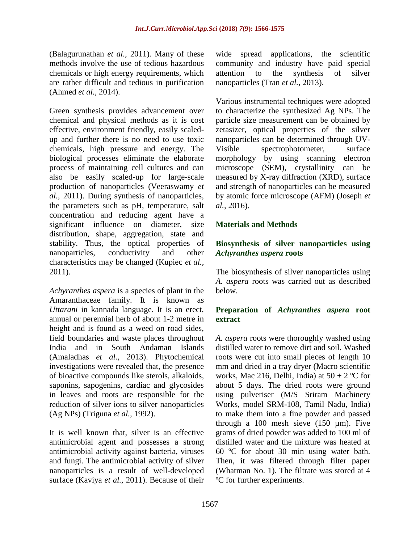(Balagurunathan *et al.,* 2011)*.* Many of these methods involve the use of tedious hazardous chemicals or high energy requirements, which are rather difficult and tedious in purification (Ahmed *et al.,* 2014).

Green synthesis provides advancement over chemical and physical methods as it is cost effective, environment friendly, easily scaledup and further there is no need to use toxic chemicals, high pressure and energy. The biological processes eliminate the elaborate process of maintaining cell cultures and can also be easily scaled-up for large-scale production of nanoparticles (Veeraswamy *et al.,* 2011). During synthesis of nanoparticles, the parameters such as pH, temperature, salt concentration and reducing agent have a significant influence on diameter, size distribution, shape, aggregation, state and stability. Thus, the optical properties of nanoparticles, conductivity and other characteristics may be changed (Kupiec *et al.,* 2011).

*Achyranthes aspera* is a species of plant in the Amaranthaceae family. It is known as *Uttarani* in kannada language. It is an erect, annual or perennial herb of about 1-2 metre in height and is found as a weed on road sides, field boundaries and waste places throughout India and in South Andaman Islands (Amaladhas *et al.,* 2013). Phytochemical investigations were revealed that, the presence of bioactive compounds like sterols, alkaloids, saponins, sapogenins, cardiac and glycosides in leaves and roots are responsible for the reduction of silver ions to silver nanoparticles (Ag NPs) (Triguna *et al.,* 1992).

It is well known that, silver is an effective antimicrobial agent and possesses a strong antimicrobial activity against bacteria, viruses and fungi. The antimicrobial activity of silver nanoparticles is a result of well-developed surface (Kaviya *et al.,* 2011). Because of their wide spread applications, the scientific community and industry have paid special attention to the synthesis of silver nanoparticles (Tran *et al.,* 2013).

Various instrumental techniques were adopted to characterize the synthesized Ag NPs. The particle size measurement can be obtained by zetasizer, optical properties of the silver nanoparticles can be determined through UV-Visible spectrophotometer, surface morphology by using scanning electron microscope (SEM), crystallinity can be measured by X-ray diffraction (XRD), surface and strength of nanoparticles can be measured by atomic force microscope (AFM) (Joseph *et al.,* 2016).

## **Materials and Methods**

## **Biosynthesis of silver nanoparticles using**  *Achyranthes aspera* **roots**

The biosynthesis of silver nanoparticles using *A. aspera* roots was carried out as described below.

## **Preparation of** *Achyranthes aspera* **root extract**

*A. aspera* roots were thoroughly washed using distilled water to remove dirt and soil. Washed roots were cut into small pieces of length 10 mm and dried in a tray dryer (Macro scientific works, Mac 216, Delhi, India) at  $50 \pm 2$  °C for about 5 days. The dried roots were ground using pulveriser (M/S Sriram Machinery Works, model SRM-108, Tamil Nadu, India) to make them into a fine powder and passed through a 100 mesh sieve  $(150 \mu m)$ . Five grams of dried powder was added to 100 ml of distilled water and the mixture was heated at 60 ºC for about 30 min using water bath. Then, it was filtered through filter paper (Whatman No. 1). The filtrate was stored at 4 ºC for further experiments.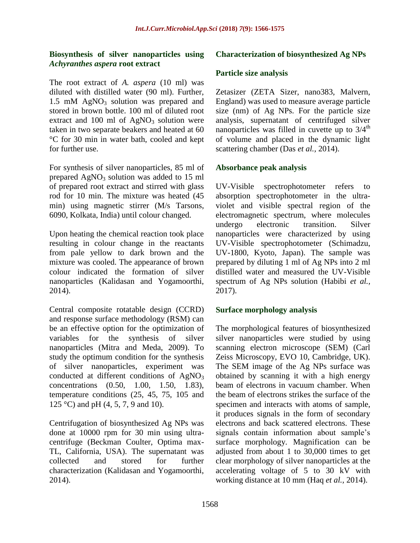## **Biosynthesis of silver nanoparticles using**  *Achyranthes aspera* **root extract**

The root extract of *A. aspera* (10 ml) was diluted with distilled water (90 ml). Further, 1.5 mM AgNO<sub>3</sub> solution was prepared and stored in brown bottle. 100 ml of diluted root extract and 100 ml of  $AgNO<sub>3</sub>$  solution were taken in two separate beakers and heated at 60 °C for 30 min in water bath, cooled and kept for further use.

For synthesis of silver nanoparticles, 85 ml of prepared  $AgNO<sub>3</sub>$  solution was added to 15 ml of prepared root extract and stirred with glass rod for 10 min. The mixture was heated (45 min) using magnetic stirrer (M/s Tarsons, 6090, Kolkata, India) until colour changed.

Upon heating the chemical reaction took place resulting in colour change in the reactants from pale yellow to dark brown and the mixture was cooled. The appearance of brown colour indicated the formation of silver nanoparticles (Kalidasan and Yogamoorthi, 2014).

Central composite rotatable design (CCRD) and response surface methodology (RSM) can be an effective option for the optimization of variables for the synthesis of silver nanoparticles (Mitra and Meda, 2009). To study the optimum condition for the synthesis of silver nanoparticles, experiment was conducted at different conditions of AgNO<sub>3</sub> concentrations (0.50, 1.00, 1.50, 1.83), temperature conditions (25, 45, 75, 105 and 125 °C) and pH  $(4, 5, 7, 9, 10)$ .

Centrifugation of biosynthesized Ag NPs was done at 10000 rpm for 30 min using ultracentrifuge (Beckman Coulter, Optima max-TL, California, USA). The supernatant was collected and stored for further characterization (Kalidasan and Yogamoorthi, 2014).

## **Characterization of biosynthesized Ag NPs**

### **Particle size analysis**

Zetasizer (ZETA Sizer, nano383, Malvern, England) was used to measure average particle size (nm) of Ag NPs. For the particle size analysis, supernatant of centrifuged silver nanoparticles was filled in cuvette up to  $3/4<sup>th</sup>$ of volume and placed in the dynamic light scattering chamber (Das *et al.,* 2014).

### **Absorbance peak analysis**

UV-Visible spectrophotometer refers to absorption spectrophotometer in the ultraviolet and visible spectral region of the electromagnetic spectrum, where molecules undergo electronic transition. Silver nanoparticles were characterized by using UV-Visible spectrophotometer (Schimadzu, UV-1800, Kyoto, Japan). The sample was prepared by diluting 1 ml of Ag NPs into 2 ml distilled water and measured the UV-Visible spectrum of Ag NPs solution (Habibi *et al.,* 2017).

### **Surface morphology analysis**

The morphological features of biosynthesized silver nanoparticles were studied by using scanning electron microscope (SEM) (Carl Zeiss Microscopy, EVO 10, Cambridge, UK). The SEM image of the Ag NPs surface was obtained by scanning it with a high energy beam of electrons in vacuum chamber. When the beam of electrons strikes the surface of the specimen and interacts with atoms of sample, it produces signals in the form of secondary electrons and back scattered electrons. These signals contain information about sample's surface morphology. Magnification can be adjusted from about 1 to 30,000 times to get clear morphology of silver nanoparticles at the accelerating voltage of 5 to 30 kV with working distance at 10 mm (Haq *et al.,* 2014).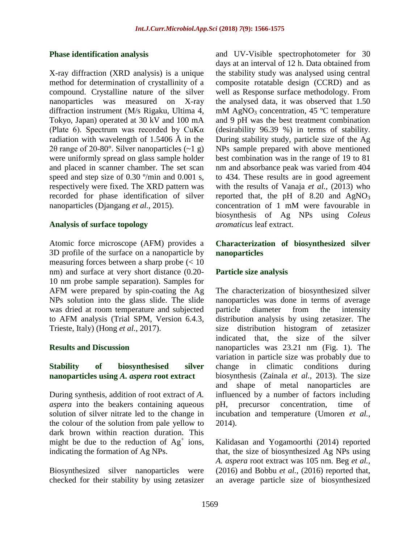#### **Phase identification analysis**

X-ray diffraction (XRD analysis) is a unique method for determination of crystallinity of a compound. Crystalline nature of the silver nanoparticles was measured on X-ray diffraction instrument (M/s Rigaku, Ultima 4, Tokyo, Japan) operated at 30 kV and 100 mA (Plate 6). Spectrum was recorded by  $CuKa$ radiation with wavelength of 1.5406 Å in the 2θ range of 20-80°. Silver nanoparticles  $(21 g)$ were uniformly spread on glass sample holder and placed in scanner chamber. The set scan speed and step size of 0.30 °/min and 0.001 s, respectively were fixed. The XRD pattern was recorded for phase identification of silver nanoparticles (Djangang *et al.,* 2015).

### **Analysis of surface topology**

Atomic force microscope (AFM) provides a 3D profile of the surface on a nanoparticle by measuring forces between a sharp probe (< 10 nm) and surface at very short distance (0.20- 10 nm probe sample separation). Samples for AFM were prepared by spin-coating the Ag NPs solution into the glass slide. The slide was dried at room temperature and subjected to AFM analysis (Trial SPM, Version 6.4.3, Trieste, Italy) (Hong *et al.,* 2017).

### **Results and Discussion**

## **Stability of biosynthesised silver nanoparticles using** *A. aspera* **root extract**

During synthesis, addition of root extract of *A. aspera* into the beakers containing aqueous solution of silver nitrate led to the change in the colour of the solution from pale yellow to dark brown within reaction duration. This might be due to the reduction of  $Ag<sup>+</sup>$  ions, indicating the formation of Ag NPs.

Biosynthesized silver nanoparticles were checked for their stability by using zetasizer and UV-Visible spectrophotometer for 30 days at an interval of 12 h. Data obtained from the stability study was analysed using central composite rotatable design (CCRD) and as well as Response surface methodology. From the analysed data, it was observed that 1.50 mM  $AgNO<sub>3</sub> concentration, 45 °C temperature$ and 9 pH was the best treatment combination (desirability 96.39 %) in terms of stability. During stability study, particle size of the Ag NPs sample prepared with above mentioned best combination was in the range of 19 to 81 nm and absorbance peak was varied from 404 to 434. These results are in good agreement with the results of Vanaja *et al.,* (2013) who reported that, the pH of  $8.20$  and  $AgNO<sub>3</sub>$ concentration of 1 mM were favourable in biosynthesis of Ag NPs using *Coleus aromaticus* leaf extract.

## **Characterization of biosynthesized silver nanoparticles**

## **Particle size analysis**

The characterization of biosynthesized silver nanoparticles was done in terms of average particle diameter from the intensity distribution analysis by using zetasizer. The size distribution histogram of zetasizer indicated that, the size of the silver nanoparticles was 23.21 nm (Fig. 1). The variation in particle size was probably due to change in climatic conditions during biosynthesis (Zainala *et al.,* 2013). The size and shape of metal nanoparticles are influenced by a number of factors including pH, precursor concentration, time of incubation and temperature (Umoren *et al.,* 2014).

Kalidasan and Yogamoorthi (2014) reported that, the size of biosynthesized Ag NPs using *A. aspera* root extract was 105 nm. Beg *et al.,* (2016) and Bobbu *et al.,* (2016) reported that, an average particle size of biosynthesized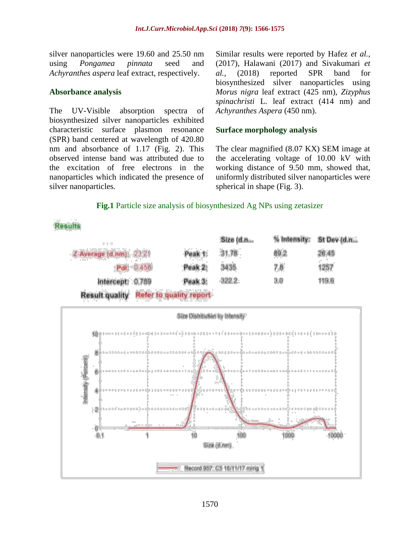silver nanoparticles were 19.60 and 25.50 nm using *Pongamea pinnata* seed and *Achyranthes aspera* leaf extract, respectively.

#### **Absorbance analysis**

The UV-Visible absorption spectra of biosynthesized silver nanoparticles exhibited characteristic surface plasmon resonance (SPR) band centered at wavelength of 420.80 nm and absorbance of 1.17 (Fig. 2). This observed intense band was attributed due to the excitation of free electrons in the nanoparticles which indicated the presence of silver nanoparticles.

Similar results were reported by Hafez *et al.,* (2017), Halawani (2017) and Sivakumari *et al.,* (2018) reported SPR band for biosynthesized silver nanoparticles using *Morus nigra* leaf extract (425 nm), *Zizyphus spinachristi* L. leaf extract (414 nm) and *Achyranthes Aspera* (450 nm).

### **Surface morphology analysis**

The clear magnified (8.07 KX) SEM image at the accelerating voltage of 10.00 kV with working distance of 9.50 mm, showed that, uniformly distributed silver nanoparticles were spherical in shape (Fig. 3).

#### **Fig.1** Particle size analysis of biosynthesized Ag NPs using zetasizer

**Results** 

| 5 - 5 - 5               |                                        |         | Size (d.n., | % Intensity: | St Dev (d.n |
|-------------------------|----------------------------------------|---------|-------------|--------------|-------------|
| Z-Average (d.nm): 23.21 |                                        | Peak 1: | 31.78       | 89.2         | 26.45       |
|                         | Pdf: 0.458                             | Peak 2: | 3435        | 7.8          | 1257        |
| Intercept: 0.789        |                                        | Peak 3: | $-322.2$    | 3.0          | 119.6       |
|                         | Result quality Refer to quality report |         |             |              |             |

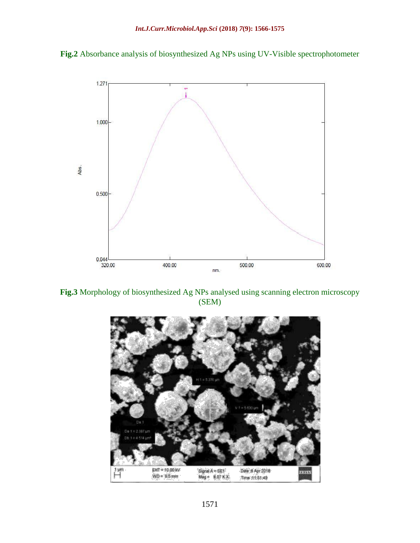



**Fig.3** Morphology of biosynthesized Ag NPs analysed using scanning electron microscopy (SEM)

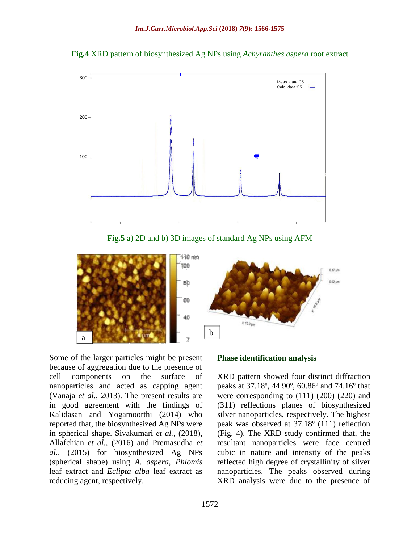



**Fig.5** a) 2D and b) 3D images of standard Ag NPs using AFM



Some of the larger particles might be present because of aggregation due to the presence of cell components on the surface of nanoparticles and acted as capping agent (Vanaja *et al.,* 2013). The present results are in good agreement with the findings of Kalidasan and Yogamoorthi (2014) who reported that, the biosynthesized Ag NPs were in spherical shape. Sivakumari *et al.,* (2018), Allafchian *et al.,* (2016) and Premasudha *et al.,* (2015) for biosynthesized Ag NPs (spherical shape) using *A. aspera*, *Phlomis* leaf extract and *Eclipta alba* leaf extract as reducing agent, respectively.

#### **Phase identification analysis**

XRD pattern showed four distinct diffraction peaks at 37.18º, 44.90º, 60.86º and 74.16º that were corresponding to (111) (200) (220) and (311) reflections planes of biosynthesized silver nanoparticles, respectively. The highest peak was observed at 37.18º (111) reflection (Fig. 4). The XRD study confirmed that, the resultant nanoparticles were face centred cubic in nature and intensity of the peaks reflected high degree of crystallinity of silver nanoparticles. The peaks observed during XRD analysis were due to the presence of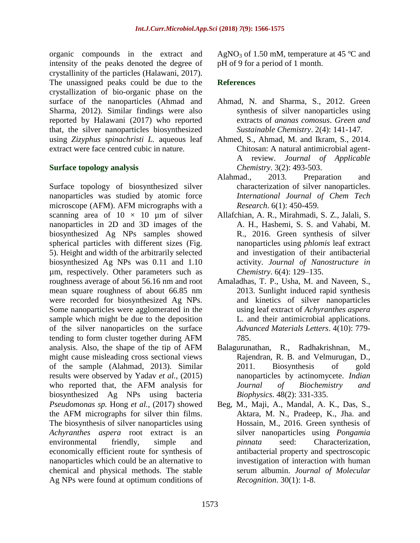organic compounds in the extract and intensity of the peaks denoted the degree of crystallinity of the particles (Halawani, 2017). The unassigned peaks could be due to the crystallization of bio-organic phase on the surface of the nanoparticles (Ahmad and Sharma, 2012). Similar findings were also reported by Halawani (2017) who reported that, the silver nanoparticles biosynthesized using *Zizyphus spinachristi L.* aqueous leaf extract were face centred cubic in nature.

## **Surface topology analysis**

Surface topology of biosynthesized silver nanoparticles was studied by atomic force microscope (AFM). AFM micrographs with a scanning area of  $10 \times 10$  µm of silver nanoparticles in 2D and 3D images of the biosynthesized Ag NPs samples showed spherical particles with different sizes (Fig. 5). Height and width of the arbitrarily selected biosynthesized Ag NPs was 0.11 and 1.10 µm, respectively. Other parameters such as roughness average of about 56.16 nm and root mean square roughness of about 66.85 nm were recorded for biosynthesized Ag NPs. Some nanoparticles were agglomerated in the sample which might be due to the deposition of the silver nanoparticles on the surface tending to form cluster together during AFM analysis. Also, the shape of the tip of AFM might cause misleading cross sectional views of the sample (Alahmad, 2013). Similar results were observed by Yadav *et al.,* (2015) who reported that, the AFM analysis for biosynthesized Ag NPs using bacteria *Pseudomonas sp.* Hong *et al.,* (2017) showed the AFM micrographs for silver thin films. The biosynthesis of silver nanoparticles using *Achyranthes aspera* root extract is an environmental friendly, simple and economically efficient route for synthesis of nanoparticles which could be an alternative to chemical and physical methods. The stable Ag NPs were found at optimum conditions of

AgNO<sub>3</sub> of 1.50 mM, temperature at 45  $^{\circ}$ C and pH of 9 for a period of 1 month.

## **References**

- Ahmad, N. and Sharma, S., 2012. Green synthesis of silver nanoparticles using extracts of *ananas comosus*. *Green and Sustainable Chemistry*. 2(4): 141-147.
- Ahmed, S., Ahmad, M. and Ikram, S., 2014. Chitosan: A natural antimicrobial agent-A review*. Journal of Applicable Chemistry*. 3(2): 493-503.
- Alahmad., 2013. Preparation and characterization of silver nanoparticles. *International Journal of Chem Tech Research*. 6(1): 450-459.
- Allafchian, A. R., Mirahmadi, S. Z., Jalali, S. A. H., Hashemi, S. S. and Vahabi, M. R., 2016. Green synthesis of silver nanoparticles using *phlomis* leaf extract and investigation of their antibacterial activity. *Journal of Nanostructure in Chemistry*. 6(4): 129–135.
- Amaladhas, T. P., Usha, M. and Naveen, S., 2013. Sunlight induced rapid synthesis and kinetics of silver nanoparticles using leaf extract of *Achyranthes aspera* L. and their antimicrobial applications. *Advanced Materials Letters*. 4(10): 779- 785.
- Balagurunathan, R., Radhakrishnan, M., Rajendran, R. B. and Velmurugan, D., 2011. Biosynthesis of gold nanoparticles by actinomycete. *Indian Journal of Biochemistry and Biophysics*. 48(2): 331-335.
- Beg, M., Maji, A., Mandal, A. K., Das, S., Aktara, M. N., Pradeep, K., Jha. and Hossain, M., 2016. Green synthesis of silver nanoparticles using *Pongamia pinnata* seed: Characterization, antibacterial property and spectroscopic investigation of interaction with human serum albumin. *Journal of Molecular Recognition*. 30(1): 1-8.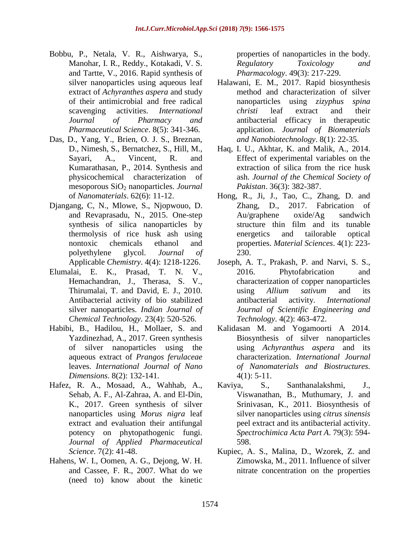- Bobbu, P., Netala, V. R., Aishwarya, S., Manohar, I. R., Reddy., Kotakadi, V. S. and Tartte, V., 2016. Rapid synthesis of silver nanoparticles using aqueous leaf extract of *Achyranthes aspera* and study of their antimicrobial and free radical scavenging activities. *International Journal of Pharmacy and Pharmaceutical Science*. 8(5): 341-346.
- Das, D., Yang, Y., Brien, O. J. S., Breznan, D., Nimesh, S., Bernatchez, S., Hill, M., Sayari, A., Vincent, R. and Kumarathasan, P., 2014. Synthesis and physicochemical characterization of mesoporous SiO<sup>2</sup> nanoparticles. *Journal* of *Nanomaterials*. 62(6): 11-12.
- Djangang, C, N., Mlowe, S., Njopwouo, D. and Revaprasadu, N., 2015. One-step synthesis of silica nanoparticles by thermolysis of rice husk ash using nontoxic chemicals ethanol and polyethylene glycol. *Journal of* Applicable *Chemistry*. 4(4): 1218-1226.
- Elumalai, E. K., Prasad, T. N. V., Hemachandran, J., Therasa, S. V., Thirumalai, T. and David, E. J., 2010. Antibacterial activity of bio stabilized silver nanoparticles. *Indian Journal of Chemical Technology*. 23(4): 520-526.
- Habibi, B., Hadilou, H., Mollaer, S. and Yazdinezhad, A., 2017. Green synthesis of silver nanoparticles using the aqueous extract of *Prangos ferulaceae* leaves. *International Journal of Nano Dimensions*. 8(2): 132-141.
- Hafez, R. A., Mosaad, A., Wahhab, A., Sehab, A. F., Al-Zahraa, A. and El-Din, K., 2017. Green synthesis of silver nanoparticles using *Morus nigra* leaf extract and evaluation their antifungal potency on phytopathogenic fungi. *Journal of Applied Pharmaceutical Science*. 7(2): 41-48.
- Hahens, W. I., Oomen, A. G., Dejong, W. H. and Cassee, F. R., 2007. What do we (need to) know about the kinetic

properties of nanoparticles in the body. *Regulatory Toxicology and Pharmacology*. 49(3): 217-229.

- Halawani, E. M., 2017. Rapid biosynthesis method and characterization of silver nanoparticles using *zizyphus spina christi* leaf extract and their antibacterial efficacy in therapeutic application. *Journal of Biomaterials and Nanobiotechnology*. 8(1): 22-35.
- Haq, I. U., Akhtar, K. and Malik, A., 2014. Effect of experimental variables on the extraction of silica from the rice husk ash. *Journal of the Chemical Society of Pakistan*. 36(3): 382-387.
- Hong, R., Ji, J., Tao, C., Zhang, D. and Zhang, D., 2017. Fabrication of Au/graphene oxide/Ag sandwich structure thin film and its tunable energetics and tailorable optical properties. *Material Sciences*. 4(1): 223- 230.
- Joseph, A. T., Prakash, P. and Narvi, S. S., 2016. Phytofabrication and characterization of copper nanoparticles using *Allium sativum* and its antibacterial activity. *International Journal of Scientific Engineering and Technology*. 4(2): 463-472.
- Kalidasan M. and Yogamoorti A 2014. Biosynthesis of silver nanoparticles using *Achyranthus aspera* and its characterization. *International Journal of Nanomaterials and Biostructures.*   $4(1): 5-11.$
- Kaviya, S., Santhanalakshmi, J., Viswanathan, B., Muthumary, J. and Srinivasan, K., 2011. Biosynthesis of silver nanoparticles using *citrus sinensis* peel extract and its antibacterial activity. *Spectrochimica Acta Part A*. 79(3): 594- 598.
- Kupiec, A. S., Malina, D., Wzorek, Z. and Zimowska, M., 2011. Influence of silver nitrate concentration on the properties